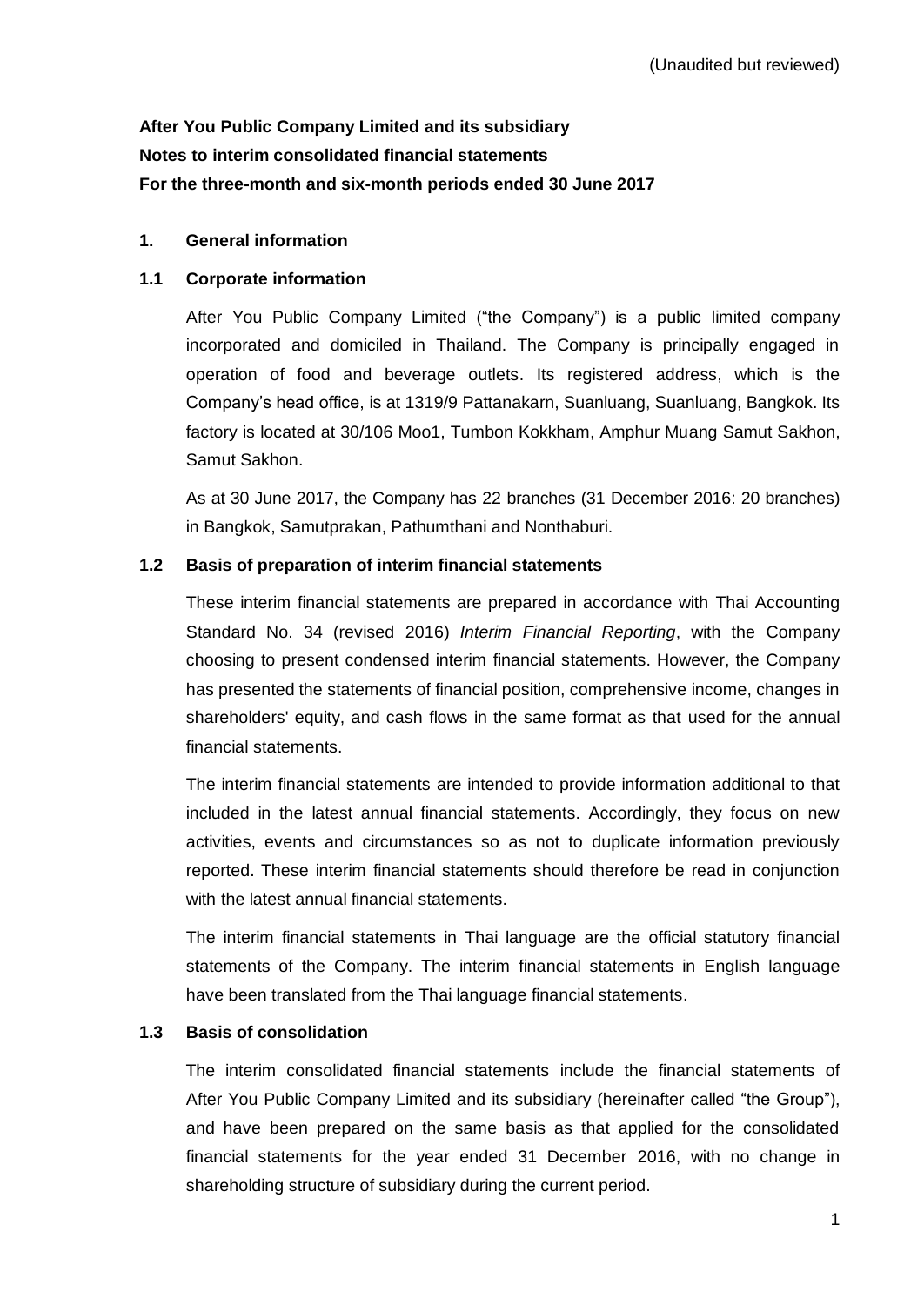# **After You Public Company Limited and its subsidiary Notes to interim consolidated financial statements For the three-month and six-month periods ended 30 June 2017**

# **1. General information**

### **1.1 Corporate information**

After You Public Company Limited ("the Company") is a public limited company incorporated and domiciled in Thailand. The Company is principally engaged in operation of food and beverage outlets. Its registered address, which is the Company's head office, is at 1319/9 Pattanakarn, Suanluang, Suanluang, Bangkok. Its factory is located at 30/106 Moo1, Tumbon Kokkham, Amphur Muang Samut Sakhon, Samut Sakhon.

As at 30 June 2017, the Company has 22 branches (31 December 2016: 20 branches) in Bangkok, Samutprakan, Pathumthani and Nonthaburi.

# **1.2 Basis of preparation of interim financial statements**

These interim financial statements are prepared in accordance with Thai Accounting Standard No. 34 (revised 2016) *Interim Financial Reporting*, with the Company choosing to present condensed interim financial statements. However, the Company has presented the statements of financial position, comprehensive income, changes in shareholders' equity, and cash flows in the same format as that used for the annual financial statements.

The interim financial statements are intended to provide information additional to that included in the latest annual financial statements. Accordingly, they focus on new activities, events and circumstances so as not to duplicate information previously reported. These interim financial statements should therefore be read in conjunction with the latest annual financial statements.

The interim financial statements in Thai language are the official statutory financial statements of the Company. The interim financial statements in English language have been translated from the Thai language financial statements.

#### **1.3 Basis of consolidation**

The interim consolidated financial statements include the financial statements of After You Public Company Limited and its subsidiary (hereinafter called "the Group"), and have been prepared on the same basis as that applied for the consolidated financial statements for the year ended 31 December 2016, with no change in shareholding structure of subsidiary during the current period.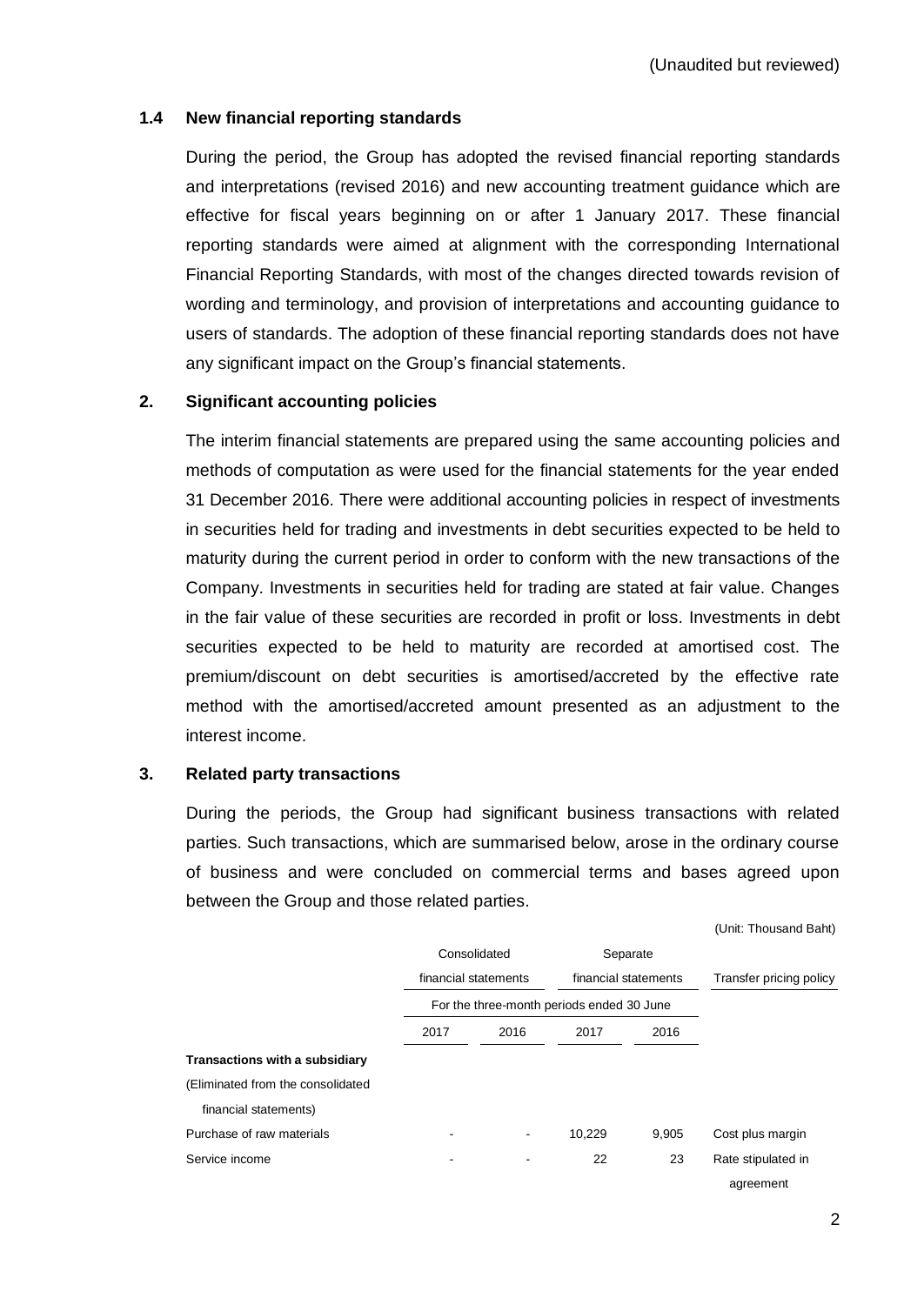#### **1.4 New financial reporting standards**

During the period, the Group has adopted the revised financial reporting standards and interpretations (revised 2016) and new accounting treatment guidance which are effective for fiscal years beginning on or after 1 January 2017. These financial reporting standards were aimed at alignment with the corresponding International Financial Reporting Standards, with most of the changes directed towards revision of wording and terminology, and provision of interpretations and accounting guidance to users of standards. The adoption of these financial reporting standards does not have any significant impact on the Group's financial statements.

#### **2. Significant accounting policies**

The interim financial statements are prepared using the same accounting policies and methods of computation as were used for the financial statements for the year ended 31 December 2016. There were additional accounting policies in respect of investments in securities held for trading and investments in debt securities expected to be held to maturity during the current period in order to conform with the new transactions of the Company. Investments in securities held for trading are stated at fair value. Changes in the fair value of these securities are recorded in profit or loss. Investments in debt securities expected to be held to maturity are recorded at amortised cost. The premium/discount on debt securities is amortised/accreted by the effective rate method with the amortised/accreted amount presented as an adjustment to the interest income.

#### **3. Related party transactions**

During the periods, the Group had significant business transactions with related parties. Such transactions, which are summarised below, arose in the ordinary course of business and were concluded on commercial terms and bases agreed upon between the Group and those related parties.

|                                       |              |                      |                                           |          | (Unit: Thousand Baht)   |
|---------------------------------------|--------------|----------------------|-------------------------------------------|----------|-------------------------|
|                                       | Consolidated |                      |                                           | Separate |                         |
|                                       |              | financial statements | financial statements                      |          | Transfer pricing policy |
|                                       |              |                      | For the three-month periods ended 30 June |          |                         |
|                                       | 2017         | 2016                 | 2017                                      | 2016     |                         |
| <b>Transactions with a subsidiary</b> |              |                      |                                           |          |                         |
| (Eliminated from the consolidated     |              |                      |                                           |          |                         |
| financial statements)                 |              |                      |                                           |          |                         |
| Purchase of raw materials             | ٠            | ٠                    | 10,229                                    | 9,905    | Cost plus margin        |
| Service income                        |              |                      | 22                                        | 23       | Rate stipulated in      |
|                                       |              |                      |                                           |          | agreement               |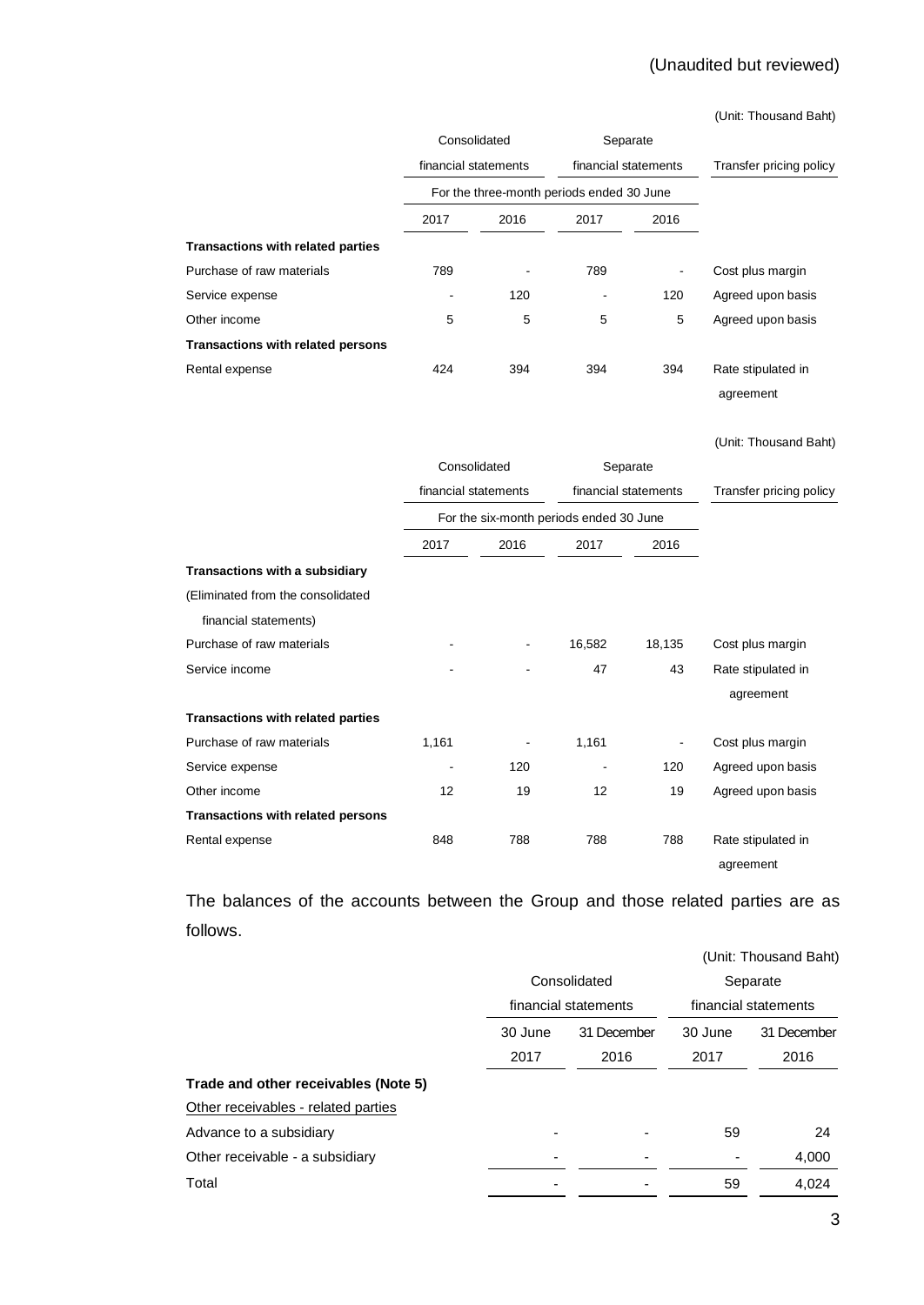# (Unaudited but reviewed)

(Unit: Thousand Baht)

|                                          | Consolidated<br>financial statements      |      | Separate<br>financial statements |          | Transfer pricing policy |  |
|------------------------------------------|-------------------------------------------|------|----------------------------------|----------|-------------------------|--|
|                                          |                                           |      |                                  |          |                         |  |
|                                          | For the three-month periods ended 30 June |      |                                  |          |                         |  |
|                                          | 2017                                      | 2016 | 2017                             | 2016     |                         |  |
| <b>Transactions with related parties</b> |                                           |      |                                  |          |                         |  |
| Purchase of raw materials                | 789                                       |      | 789                              |          | Cost plus margin        |  |
| Service expense                          |                                           | 120  |                                  | 120      | Agreed upon basis       |  |
| Other income                             | 5                                         | 5    | 5                                | 5        | Agreed upon basis       |  |
| Transactions with related persons        |                                           |      |                                  |          |                         |  |
| Rental expense                           | 424                                       | 394  | 394                              | 394      | Rate stipulated in      |  |
|                                          |                                           |      |                                  |          | agreement               |  |
|                                          |                                           |      |                                  |          | (Unit: Thousand Baht)   |  |
|                                          | Consolidated<br>financial statements      |      |                                  | Separate |                         |  |
|                                          |                                           |      | financial statements             |          | Transfer pricing policy |  |
|                                          | For the six-month periods ended 30 June   |      |                                  |          |                         |  |
|                                          | 2017                                      | 2016 | 2017                             | 2016     |                         |  |
| Transactions with a subsidiary           |                                           |      |                                  |          |                         |  |
| (Eliminated from the consolidated        |                                           |      |                                  |          |                         |  |
| financial statements)                    |                                           |      |                                  |          |                         |  |
| Purchase of raw materials                |                                           |      | 16,582                           | 18,135   | Cost plus margin        |  |
| Service income                           |                                           |      | 47                               | 43       | Rate stipulated in      |  |
|                                          |                                           |      |                                  |          | agreement               |  |
| <b>Transactions with related parties</b> |                                           |      |                                  |          |                         |  |
| Purchase of raw materials                | 1,161                                     |      | 1,161                            |          | Cost plus margin        |  |
| Service expense                          |                                           | 120  |                                  | 120      | Agreed upon basis       |  |
| Other income                             | 12                                        | 19   | 12                               | 19       | Agreed upon basis       |  |
| <b>Transactions with related persons</b> |                                           |      |                                  |          |                         |  |
| Rental expense                           | 848                                       | 788  | 788                              | 788      | Rate stipulated in      |  |
|                                          |                                           |      |                                  |          | agreement               |  |

The balances of the accounts between the Group and those related parties are as follows.

|                                      |         |                                      | (Unit: Thousand Baht) |                      |  |
|--------------------------------------|---------|--------------------------------------|-----------------------|----------------------|--|
|                                      |         | Consolidated<br>financial statements |                       | Separate             |  |
|                                      |         |                                      |                       | financial statements |  |
|                                      | 30 June | 31 December                          | 30 June               | 31 December          |  |
|                                      | 2017    | 2016                                 | 2017                  | 2016                 |  |
| Trade and other receivables (Note 5) |         |                                      |                       |                      |  |
| Other receivables - related parties  |         |                                      |                       |                      |  |
| Advance to a subsidiary              |         |                                      | 59                    | 24                   |  |
| Other receivable - a subsidiary      |         |                                      |                       | 4,000                |  |
| Total                                |         |                                      | 59                    | 4,024                |  |
|                                      |         |                                      |                       |                      |  |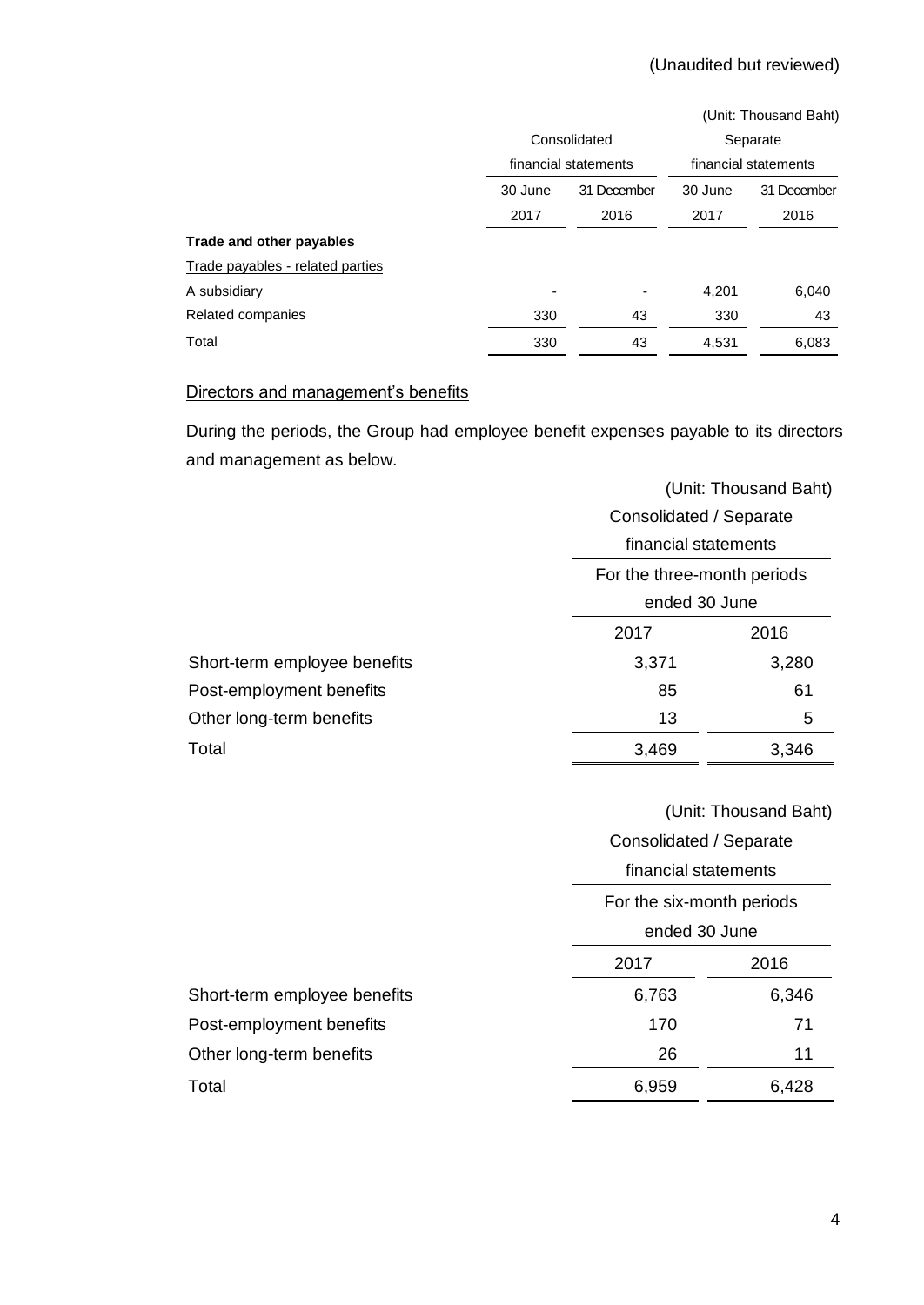|                                  |                        |                          |          | (Unit: Thousand Baht) |  |                      |
|----------------------------------|------------------------|--------------------------|----------|-----------------------|--|----------------------|
|                                  | Consolidated           |                          | Separate |                       |  |                      |
|                                  | financial statements   |                          |          |                       |  | financial statements |
|                                  | 30 June<br>31 December |                          | 30 June  | 31 December           |  |                      |
|                                  | 2017                   | 2016                     | 2017     | 2016                  |  |                      |
| Trade and other payables         |                        |                          |          |                       |  |                      |
| Trade payables - related parties |                        |                          |          |                       |  |                      |
| A subsidiary                     |                        | $\overline{\phantom{a}}$ | 4,201    | 6,040                 |  |                      |
| Related companies                | 330                    | 43                       | 330      | 43                    |  |                      |
| Total                            | 330                    | 43                       | 4,531    | 6,083                 |  |                      |

#### Directors and management's benefits

During the periods, the Group had employee benefit expenses payable to its directors and management as below.

|                              | (Unit: Thousand Baht)       |       |  |  |
|------------------------------|-----------------------------|-------|--|--|
|                              | Consolidated / Separate     |       |  |  |
|                              | financial statements        |       |  |  |
|                              | For the three-month periods |       |  |  |
|                              | ended 30 June               |       |  |  |
|                              | 2017                        | 2016  |  |  |
| Short-term employee benefits | 3,371                       | 3,280 |  |  |
| Post-employment benefits     | 85                          | 61    |  |  |
| Other long-term benefits     | 13<br>5                     |       |  |  |
| Total                        | 3,469                       | 3,346 |  |  |

# (Unit: Thousand Baht)

|                              | Consolidated / Separate   |       |  |  |
|------------------------------|---------------------------|-------|--|--|
|                              | financial statements      |       |  |  |
|                              | For the six-month periods |       |  |  |
|                              | ended 30 June             |       |  |  |
|                              | 2016<br>2017              |       |  |  |
| Short-term employee benefits | 6,763                     | 6,346 |  |  |
| Post-employment benefits     | 170                       | 71    |  |  |
| Other long-term benefits     | 26                        | 11    |  |  |
| Total                        | 6,959                     | 6,428 |  |  |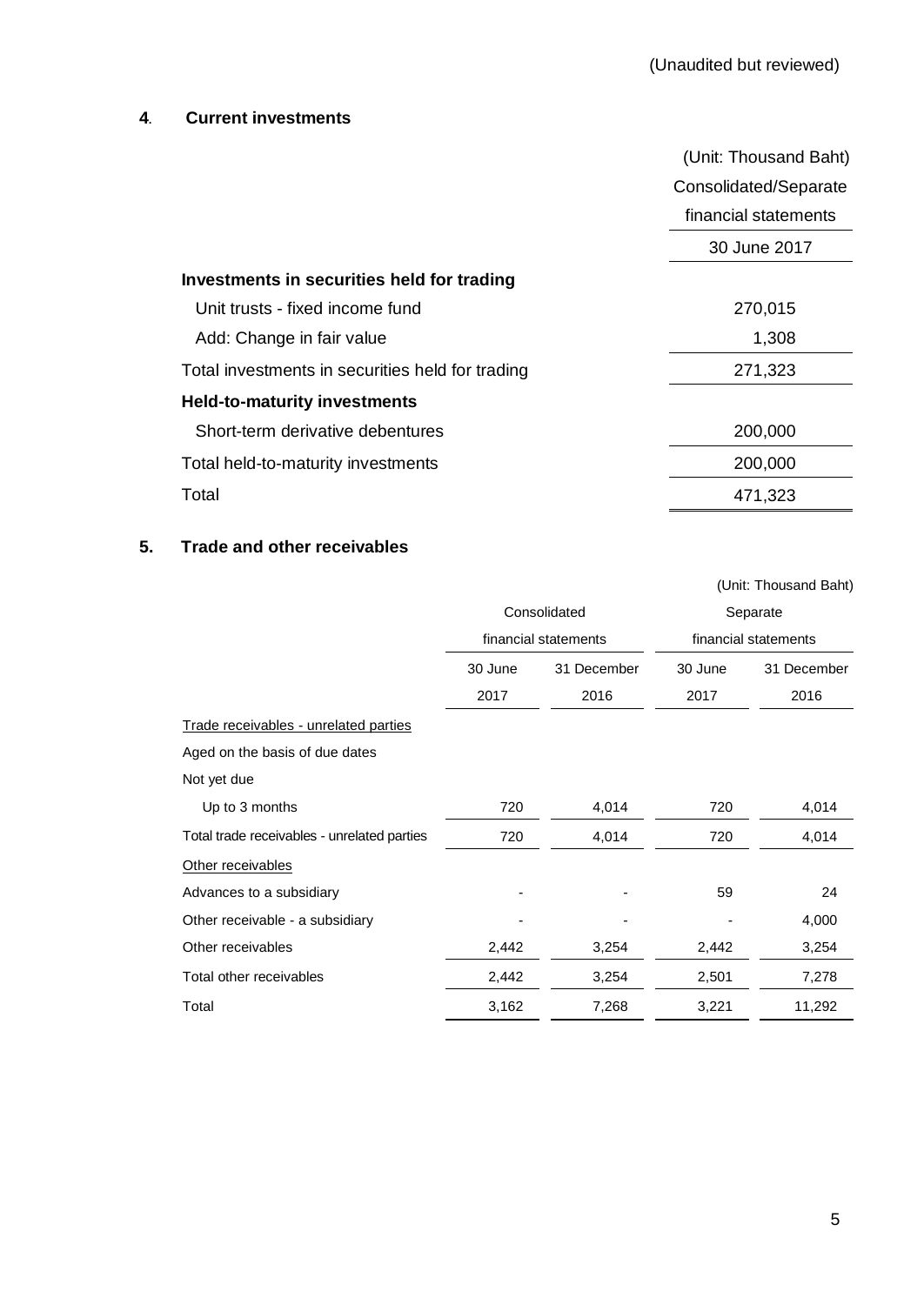# **4. Current investments**

|                                                  | (Unit: Thousand Baht) |
|--------------------------------------------------|-----------------------|
|                                                  | Consolidated/Separate |
|                                                  | financial statements  |
|                                                  | 30 June 2017          |
| Investments in securities held for trading       |                       |
| Unit trusts - fixed income fund                  | 270,015               |
| Add: Change in fair value                        | 1,308                 |
| Total investments in securities held for trading | 271,323               |
| <b>Held-to-maturity investments</b>              |                       |
| Short-term derivative debentures                 | 200,000               |
| Total held-to-maturity investments               | 200,000               |
| Total                                            | 471,323               |

# **5. Trade and other receivables**

|                                             |              |                      |                      | (Unit: Thousand Baht) |
|---------------------------------------------|--------------|----------------------|----------------------|-----------------------|
|                                             | Consolidated |                      | Separate             |                       |
|                                             |              | financial statements | financial statements |                       |
|                                             | 30 June      | 31 December          | 30 June              | 31 December           |
|                                             | 2017         | 2016                 | 2017                 | 2016                  |
| Trade receivables - unrelated parties       |              |                      |                      |                       |
| Aged on the basis of due dates              |              |                      |                      |                       |
| Not yet due                                 |              |                      |                      |                       |
| Up to 3 months                              | 720          | 4,014                | 720                  | 4,014                 |
| Total trade receivables - unrelated parties | 720          | 4,014                | 720                  | 4,014                 |
| Other receivables                           |              |                      |                      |                       |
| Advances to a subsidiary                    |              |                      | 59                   | 24                    |
| Other receivable - a subsidiary             |              |                      |                      | 4,000                 |
| Other receivables                           | 2,442        | 3,254                | 2,442                | 3,254                 |
| Total other receivables                     | 2,442        | 3,254                | 2,501                | 7,278                 |
| Total                                       | 3,162        | 7,268                | 3,221                | 11,292                |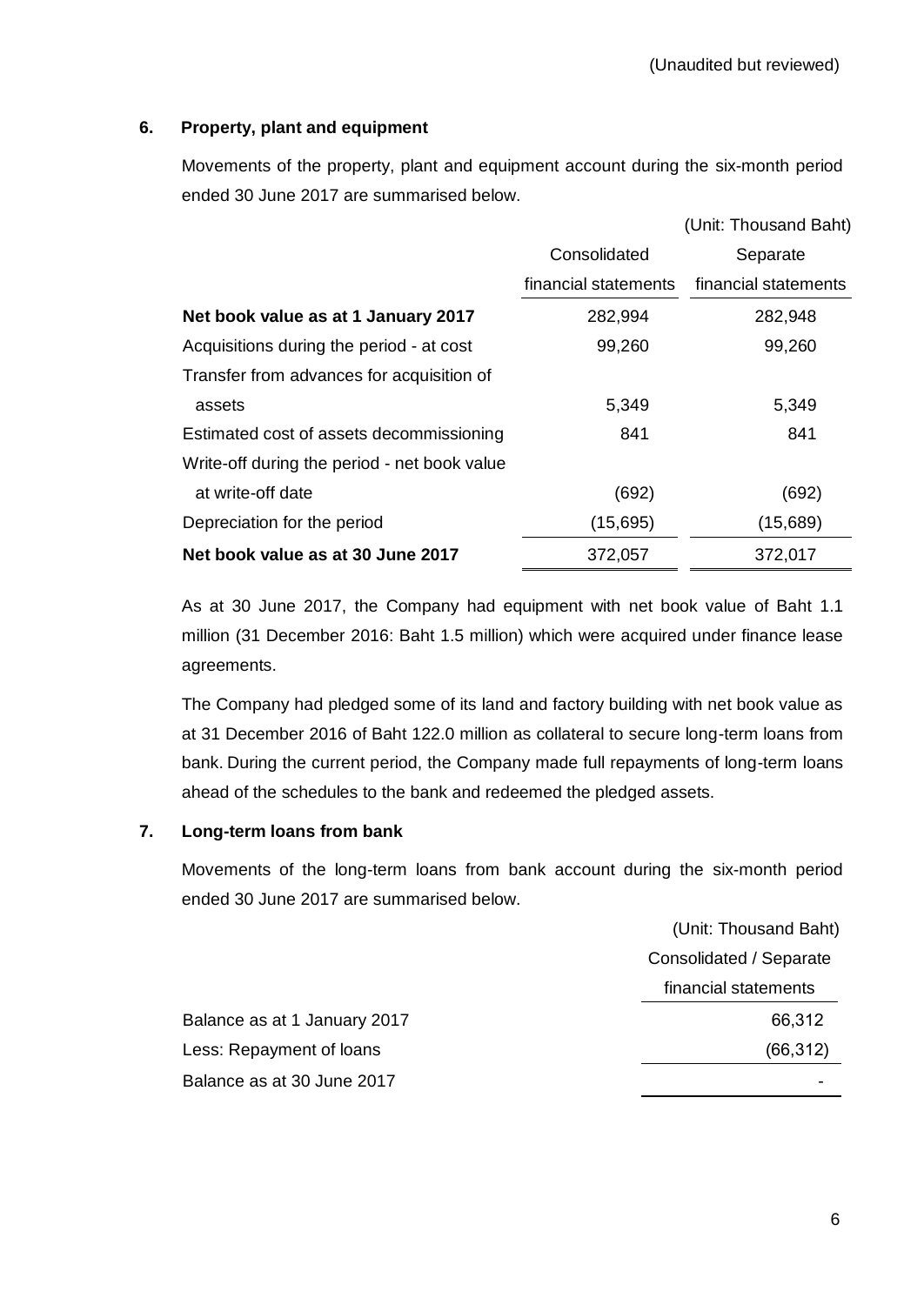# **6. Property, plant and equipment**

Movements of the property, plant and equipment account during the six-month period ended 30 June 2017 are summarised below.

|                                              |                      | (Unit: Thousand Baht) |
|----------------------------------------------|----------------------|-----------------------|
|                                              | Consolidated         | Separate              |
|                                              | financial statements | financial statements  |
| Net book value as at 1 January 2017          | 282,994              | 282,948               |
| Acquisitions during the period - at cost     | 99,260               | 99,260                |
| Transfer from advances for acquisition of    |                      |                       |
| assets                                       | 5,349                | 5,349                 |
| Estimated cost of assets decommissioning     | 841                  | 841                   |
| Write-off during the period - net book value |                      |                       |
| at write-off date                            | (692)                | (692)                 |
| Depreciation for the period                  | (15,695)             | (15,689)              |
| Net book value as at 30 June 2017            | 372,057              | 372,017               |

As at 30 June 2017, the Company had equipment with net book value of Baht 1.1 million (31 December 2016: Baht 1.5 million) which were acquired under finance lease agreements.

The Company had pledged some of its land and factory building with net book value as at 31 December 2016 of Baht 122.0 million as collateral to secure long-term loans from bank. During the current period, the Company made full repayments of long-term loans ahead of the schedules to the bank and redeemed the pledged assets.

#### **7. Long-term loans from bank**

Movements of the long-term loans from bank account during the six-month period ended 30 June 2017 are summarised below.

|                              | (Unit: Thousand Baht)   |
|------------------------------|-------------------------|
|                              | Consolidated / Separate |
|                              | financial statements    |
| Balance as at 1 January 2017 | 66,312                  |
| Less: Repayment of loans     | (66, 312)               |
| Balance as at 30 June 2017   |                         |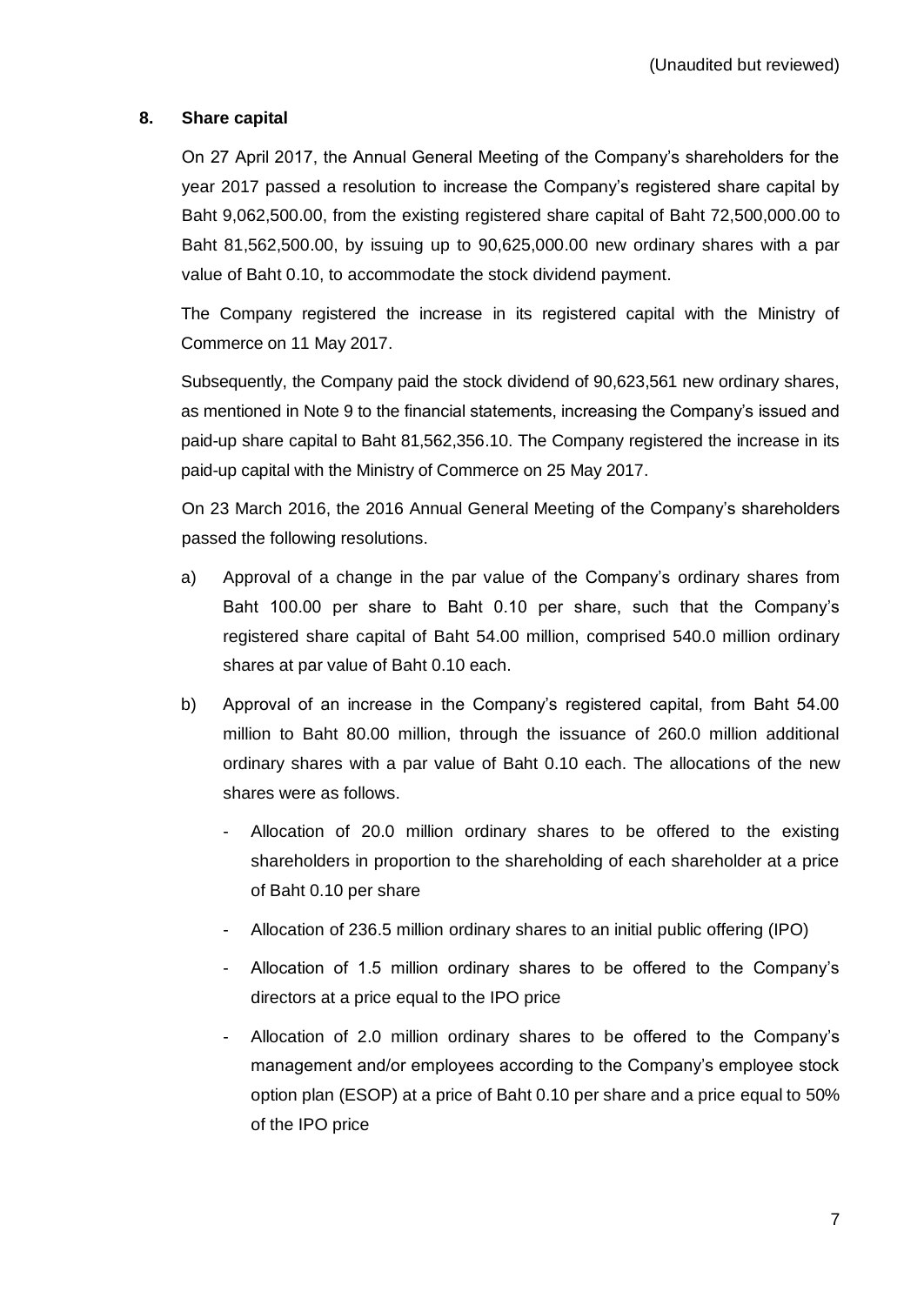#### **8. Share capital**

On 27 April 2017, the Annual General Meeting of the Company's shareholders for the year 2017 passed a resolution to increase the Company's registered share capital by Baht 9,062,500.00, from the existing registered share capital of Baht 72,500,000.00 to Baht 81,562,500.00, by issuing up to 90,625,000.00 new ordinary shares with a par value of Baht 0.10, to accommodate the stock dividend payment.

The Company registered the increase in its registered capital with the Ministry of Commerce on 11 May 2017.

Subsequently, the Company paid the stock dividend of 90,623,561 new ordinary shares, as mentioned in Note 9 to the financial statements, increasing the Company's issued and paid-up share capital to Baht 81,562,356.10. The Company registered the increase in its paid-up capital with the Ministry of Commerce on 25 May 2017.

On 23 March 2016, the 2016 Annual General Meeting of the Company's shareholders passed the following resolutions.

- a) Approval of a change in the par value of the Company's ordinary shares from Baht 100.00 per share to Baht 0.10 per share, such that the Company's registered share capital of Baht 54.00 million, comprised 540.0 million ordinary shares at par value of Baht 0.10 each.
- b) Approval of an increase in the Company's registered capital, from Baht 54.00 million to Baht 80.00 million, through the issuance of 260.0 million additional ordinary shares with a par value of Baht 0.10 each. The allocations of the new shares were as follows.
	- Allocation of 20.0 million ordinary shares to be offered to the existing shareholders in proportion to the shareholding of each shareholder at a price of Baht 0.10 per share
	- Allocation of 236.5 million ordinary shares to an initial public offering (IPO)
	- Allocation of 1.5 million ordinary shares to be offered to the Company's directors at a price equal to the IPO price
	- Allocation of 2.0 million ordinary shares to be offered to the Company's management and/or employees according to the Company's employee stock option plan (ESOP) at a price of Baht 0.10 per share and a price equal to 50% of the IPO price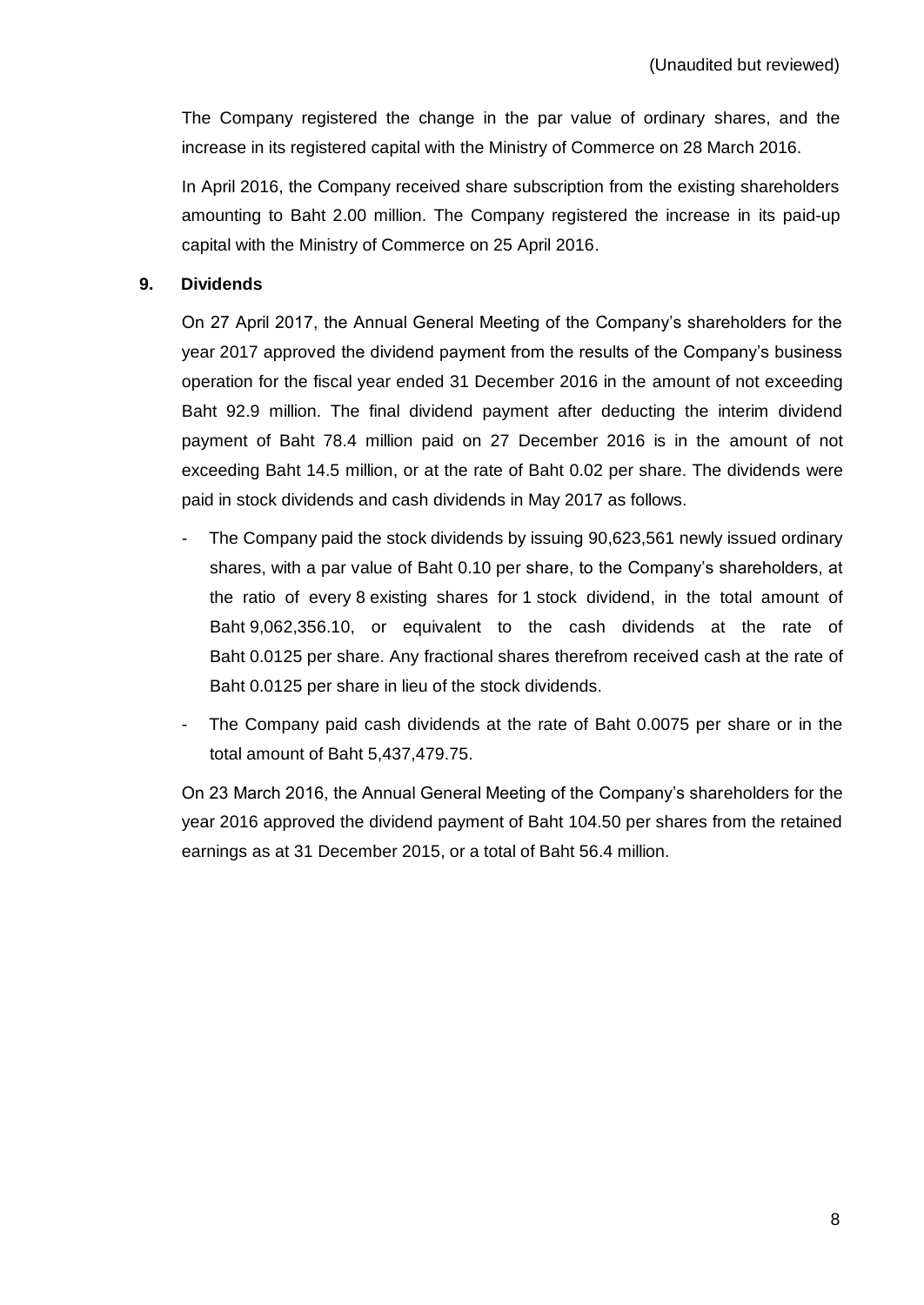The Company registered the change in the par value of ordinary shares, and the increase in its registered capital with the Ministry of Commerce on 28 March 2016.

In April 2016, the Company received share subscription from the existing shareholders amounting to Baht 2.00 million. The Company registered the increase in its paid-up capital with the Ministry of Commerce on 25 April 2016.

# **9. Dividends**

On 27 April 2017, the Annual General Meeting of the Company's shareholders for the year 2017 approved the dividend payment from the results of the Company's business operation for the fiscal year ended 31 December 2016 in the amount of not exceeding Baht 92.9 million. The final dividend payment after deducting the interim dividend payment of Baht 78.4 million paid on 27 December 2016 is in the amount of not exceeding Baht 14.5 million, or at the rate of Baht 0.02 per share. The dividends were paid in stock dividends and cash dividends in May 2017 as follows.

- The Company paid the stock dividends by issuing 90,623,561 newly issued ordinary shares, with a par value of Baht 0.10 per share, to the Company's shareholders, at the ratio of every 8 existing shares for 1 stock dividend, in the total amount of Baht 9,062,356.10, or equivalent to the cash dividends at the rate of Baht 0.0125 per share. Any fractional shares therefrom received cash at the rate of Baht 0.0125 per share in lieu of the stock dividends.
- The Company paid cash dividends at the rate of Baht 0.0075 per share or in the total amount of Baht 5,437,479.75.

On 23 March 2016, the Annual General Meeting of the Company's shareholders for the year 2016 approved the dividend payment of Baht 104.50 per shares from the retained earnings as at 31 December 2015, or a total of Baht 56.4 million.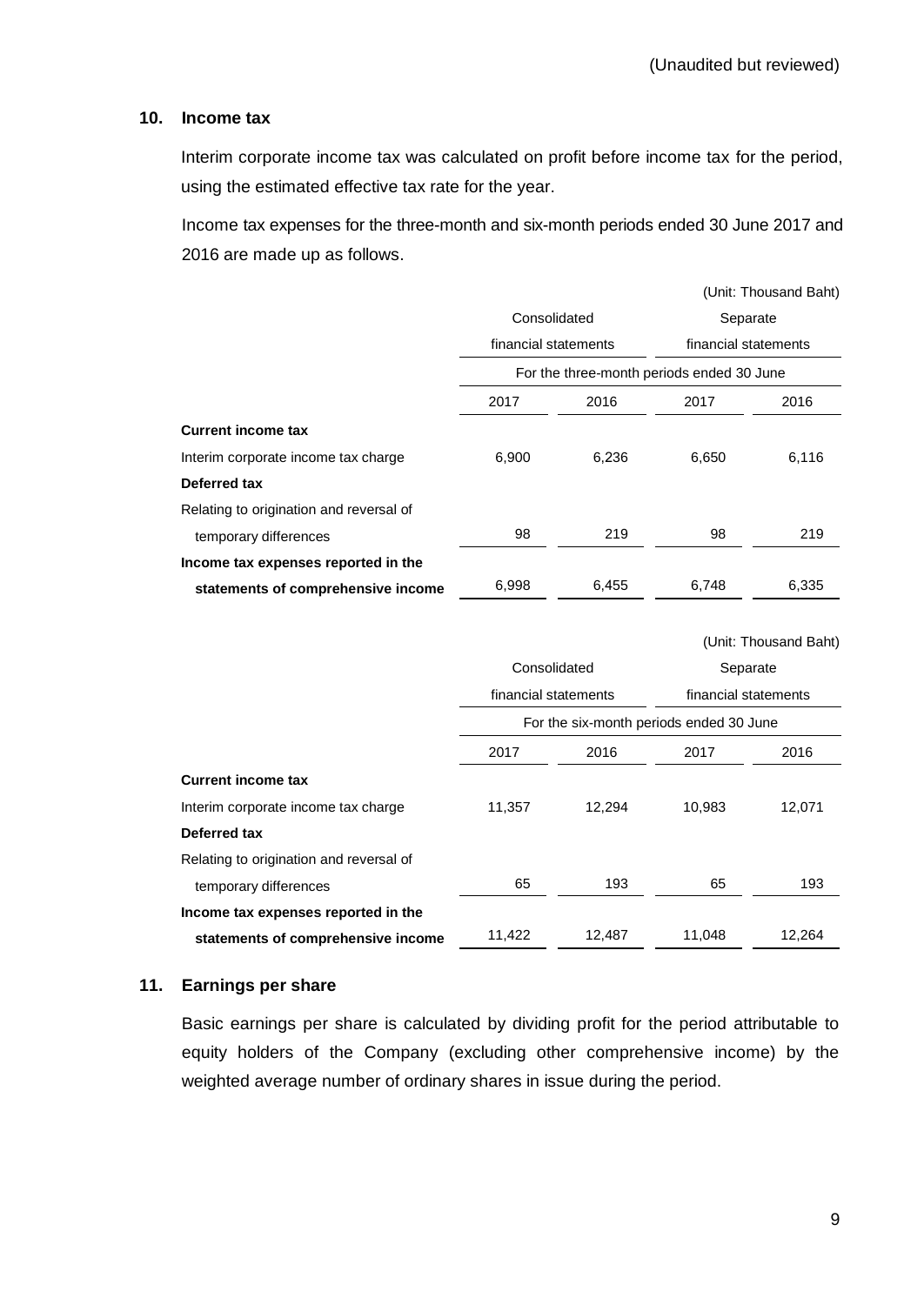#### **10. Income tax**

Interim corporate income tax was calculated on profit before income tax for the period, using the estimated effective tax rate for the year.

Income tax expenses for the three-month and six-month periods ended 30 June 2017 and 2016 are made up as follows.

|                                         |                      |       |                                           | (Unit: Thousand Baht) |  |
|-----------------------------------------|----------------------|-------|-------------------------------------------|-----------------------|--|
|                                         | Consolidated         |       | Separate                                  |                       |  |
|                                         | financial statements |       | financial statements                      |                       |  |
|                                         |                      |       | For the three-month periods ended 30 June |                       |  |
|                                         | 2017                 | 2016  | 2017                                      | 2016                  |  |
| <b>Current income tax</b>               |                      |       |                                           |                       |  |
| Interim corporate income tax charge     | 6,900                | 6,236 | 6,650                                     | 6,116                 |  |
| Deferred tax                            |                      |       |                                           |                       |  |
| Relating to origination and reversal of |                      |       |                                           |                       |  |
| temporary differences                   | 98                   | 219   | 98                                        | 219                   |  |
| Income tax expenses reported in the     |                      |       |                                           |                       |  |
| statements of comprehensive income      | 6,998                | 6,455 | 6,748                                     | 6,335                 |  |
|                                         |                      |       |                                           |                       |  |
|                                         |                      |       |                                           | (Unit: Thousand Raht) |  |

|                                         |                      |        |                                                                 | $\frac{1}{2}$ |
|-----------------------------------------|----------------------|--------|-----------------------------------------------------------------|---------------|
|                                         | Consolidated         |        | Separate                                                        |               |
|                                         | financial statements |        | financial statements<br>For the six-month periods ended 30 June |               |
|                                         |                      |        |                                                                 |               |
|                                         | 2017                 | 2016   | 2017                                                            | 2016          |
| <b>Current income tax</b>               |                      |        |                                                                 |               |
| Interim corporate income tax charge     | 11,357               | 12,294 | 10,983                                                          | 12,071        |
| Deferred tax                            |                      |        |                                                                 |               |
| Relating to origination and reversal of |                      |        |                                                                 |               |
| temporary differences                   | 65                   | 193    | 65                                                              | 193           |
| Income tax expenses reported in the     |                      |        |                                                                 |               |
| statements of comprehensive income      | 11,422               | 12,487 | 11,048                                                          | 12,264        |

#### **11. Earnings per share**

Basic earnings per share is calculated by dividing profit for the period attributable to equity holders of the Company (excluding other comprehensive income) by the weighted average number of ordinary shares in issue during the period.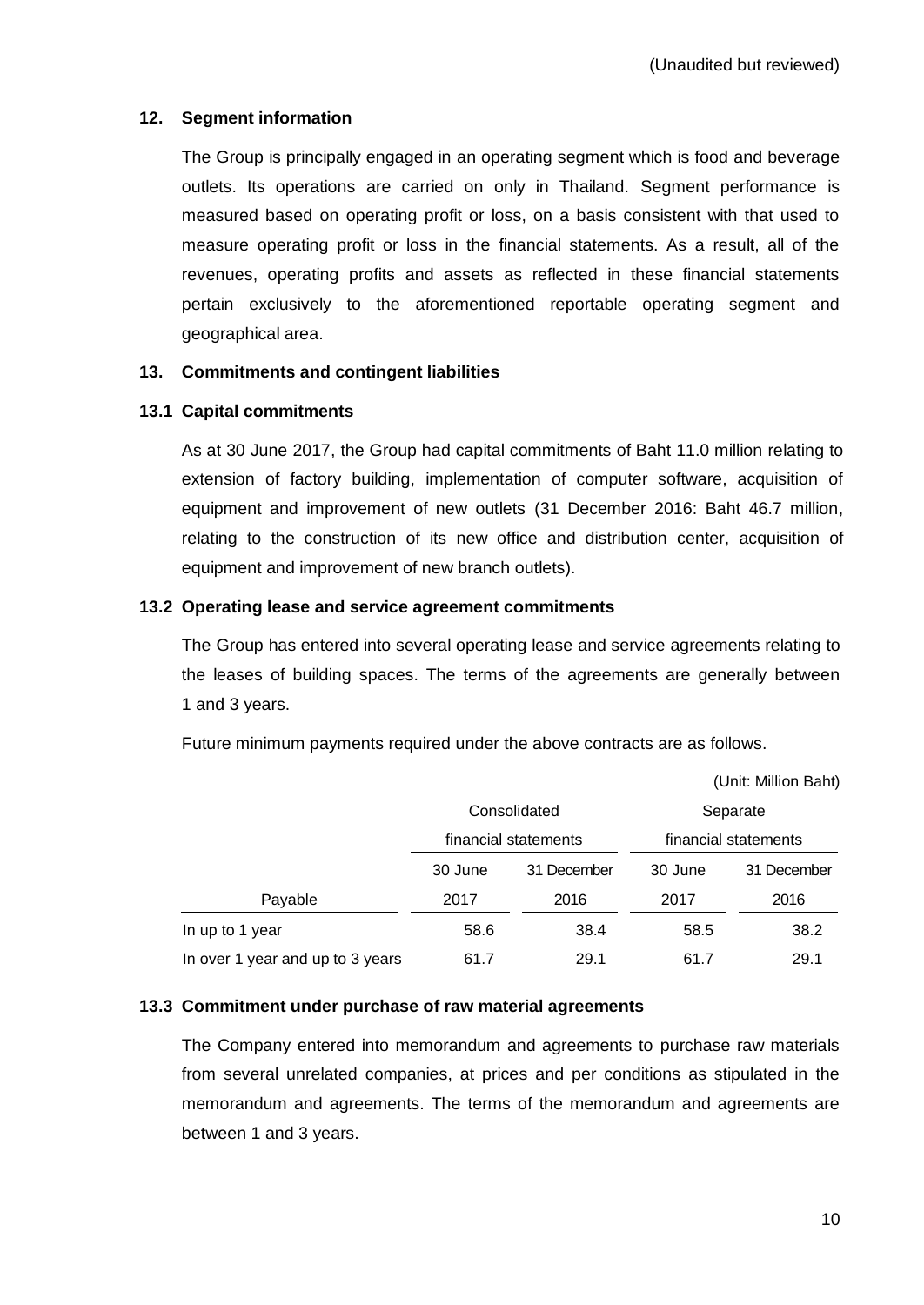# **12. Segment information**

The Group is principally engaged in an operating segment which is food and beverage outlets. Its operations are carried on only in Thailand. Segment performance is measured based on operating profit or loss, on a basis consistent with that used to measure operating profit or loss in the financial statements. As a result, all of the revenues, operating profits and assets as reflected in these financial statements pertain exclusively to the aforementioned reportable operating segment and geographical area.

# **13. Commitments and contingent liabilities**

# **13.1 Capital commitments**

As at 30 June 2017, the Group had capital commitments of Baht 11.0 million relating to extension of factory building, implementation of computer software, acquisition of equipment and improvement of new outlets (31 December 2016: Baht 46.7 million, relating to the construction of its new office and distribution center, acquisition of equipment and improvement of new branch outlets).

#### **13.2 Operating lease and service agreement commitments**

The Group has entered into several operating lease and service agreements relating to the leases of building spaces. The terms of the agreements are generally between 1 and 3 years.

|                                  |                      |             | (Unit: Million Baht)             |             |  |
|----------------------------------|----------------------|-------------|----------------------------------|-------------|--|
|                                  | Consolidated         |             | Separate<br>financial statements |             |  |
|                                  | financial statements |             |                                  |             |  |
|                                  | 30 June              | 31 December | 30 June                          | 31 December |  |
| Payable                          | 2017                 | 2016        | 2017                             | 2016        |  |
| In up to 1 year                  | 58.6                 | 38.4        | 58.5                             | 38.2        |  |
| In over 1 year and up to 3 years | 61.7                 | 29.1        | 61.7                             | 29.1        |  |

Future minimum payments required under the above contracts are as follows.

#### **13.3 Commitment under purchase of raw material agreements**

The Company entered into memorandum and agreements to purchase raw materials from several unrelated companies, at prices and per conditions as stipulated in the memorandum and agreements. The terms of the memorandum and agreements are between 1 and 3 years.